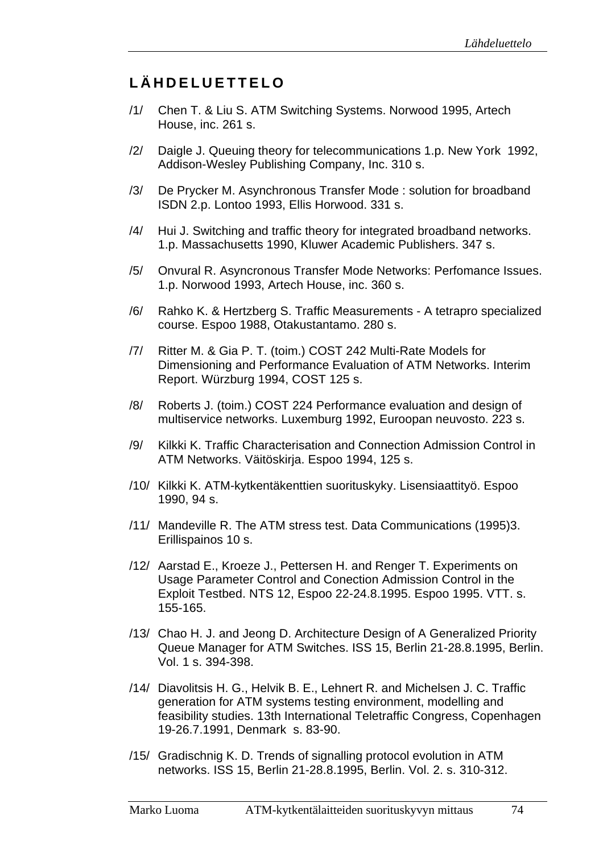## **LÄHDELUETTELO**

- /1/ Chen T. & Liu S. ATM Switching Systems. Norwood 1995, Artech House, inc. 261 s.
- /2/ Daigle J. Queuing theory for telecommunications 1.p. New York 1992, Addison-Wesley Publishing Company, Inc. 310 s.
- /3/ De Prycker M. Asynchronous Transfer Mode : solution for broadband ISDN 2.p. Lontoo 1993, Ellis Horwood. 331 s.
- /4/ Hui J. Switching and traffic theory for integrated broadband networks. 1.p. Massachusetts 1990, Kluwer Academic Publishers. 347 s.
- /5/ Onvural R. Asyncronous Transfer Mode Networks: Perfomance Issues. 1.p. Norwood 1993, Artech House, inc. 360 s.
- /6/ Rahko K. & Hertzberg S. Traffic Measurements A tetrapro specialized course. Espoo 1988, Otakustantamo. 280 s.
- /7/ Ritter M. & Gia P. T. (toim.) COST 242 Multi-Rate Models for Dimensioning and Performance Evaluation of ATM Networks. Interim Report. Würzburg 1994, COST 125 s.
- /8/ Roberts J. (toim.) COST 224 Performance evaluation and design of multiservice networks. Luxemburg 1992, Euroopan neuvosto. 223 s.
- /9/ Kilkki K. Traffic Characterisation and Connection Admission Control in ATM Networks. Väitöskirja. Espoo 1994, 125 s.
- /10/ Kilkki K. ATM-kytkentäkenttien suorituskyky. Lisensiaattityö. Espoo 1990, 94 s.
- /11/ Mandeville R. The ATM stress test. Data Communications (1995)3. Erillispainos 10 s.
- /12/ Aarstad E., Kroeze J., Pettersen H. and Renger T. Experiments on Usage Parameter Control and Conection Admission Control in the Exploit Testbed. NTS 12, Espoo 22-24.8.1995. Espoo 1995. VTT. s. 155-165.
- /13/ Chao H. J. and Jeong D. Architecture Design of A Generalized Priority Queue Manager for ATM Switches. ISS 15, Berlin 21-28.8.1995, Berlin. Vol. 1 s. 394-398.
- /14/ Diavolitsis H. G., Helvik B. E., Lehnert R. and Michelsen J. C. Traffic generation for ATM systems testing environment, modelling and feasibility studies. 13th International Teletraffic Congress, Copenhagen 19-26.7.1991, Denmark s. 83-90.
- /15/ Gradischnig K. D. Trends of signalling protocol evolution in ATM networks. ISS 15, Berlin 21-28.8.1995, Berlin. Vol. 2. s. 310-312.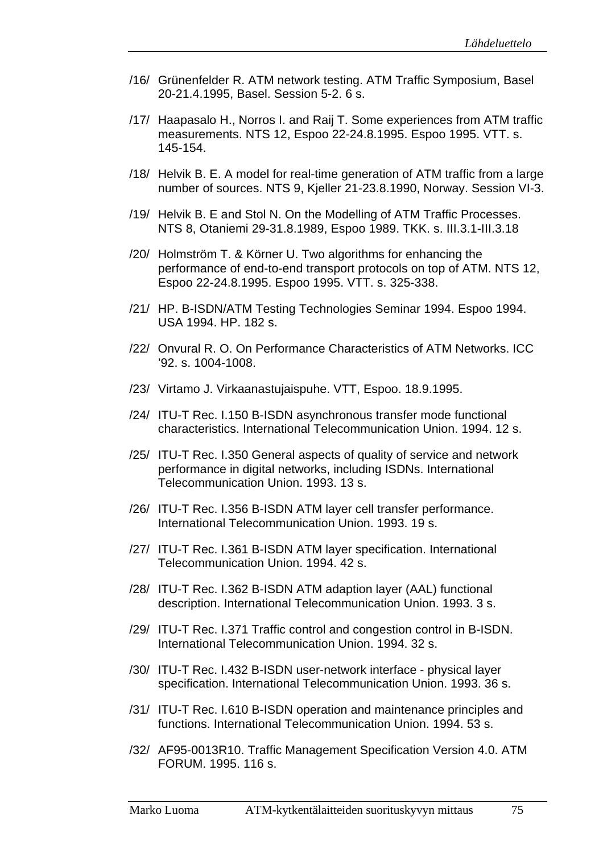- /16/ Grünenfelder R. ATM network testing. ATM Traffic Symposium, Basel 20-21.4.1995, Basel. Session 5-2. 6 s.
- /17/ Haapasalo H., Norros I. and Raij T. Some experiences from ATM traffic measurements. NTS 12, Espoo 22-24.8.1995. Espoo 1995. VTT. s. 145-154.
- /18/ Helvik B. E. A model for real-time generation of ATM traffic from a large number of sources. NTS 9, Kjeller 21-23.8.1990, Norway. Session VI-3.
- /19/ Helvik B. E and Stol N. On the Modelling of ATM Traffic Processes. NTS 8, Otaniemi 29-31.8.1989, Espoo 1989. TKK. s. III.3.1-III.3.18
- /20/ Holmström T. & Körner U. Two algorithms for enhancing the performance of end-to-end transport protocols on top of ATM. NTS 12, Espoo 22-24.8.1995. Espoo 1995. VTT. s. 325-338.
- /21/ HP. B-ISDN/ATM Testing Technologies Seminar 1994. Espoo 1994. USA 1994. HP. 182 s.
- /22/ Onvural R. O. On Performance Characteristics of ATM Networks. ICC '92. s. 1004-1008.
- /23/ Virtamo J. Virkaanastujaispuhe. VTT, Espoo. 18.9.1995.
- /24/ ITU-T Rec. I.150 B-ISDN asynchronous transfer mode functional characteristics. International Telecommunication Union. 1994. 12 s.
- /25/ ITU-T Rec. I.350 General aspects of quality of service and network performance in digital networks, including ISDNs. International Telecommunication Union. 1993. 13 s.
- /26/ ITU-T Rec. I.356 B-ISDN ATM layer cell transfer performance. International Telecommunication Union. 1993. 19 s.
- /27/ ITU-T Rec. I.361 B-ISDN ATM layer specification. International Telecommunication Union. 1994. 42 s.
- /28/ ITU-T Rec. I.362 B-ISDN ATM adaption layer (AAL) functional description. International Telecommunication Union. 1993. 3 s.
- /29/ ITU-T Rec. I.371 Traffic control and congestion control in B-ISDN. International Telecommunication Union. 1994. 32 s.
- /30/ ITU-T Rec. I.432 B-ISDN user-network interface physical layer specification. International Telecommunication Union. 1993. 36 s.
- /31/ ITU-T Rec. I.610 B-ISDN operation and maintenance principles and functions. International Telecommunication Union. 1994. 53 s.
- /32/ AF95-0013R10. Traffic Management Specification Version 4.0. ATM FORUM. 1995. 116 s.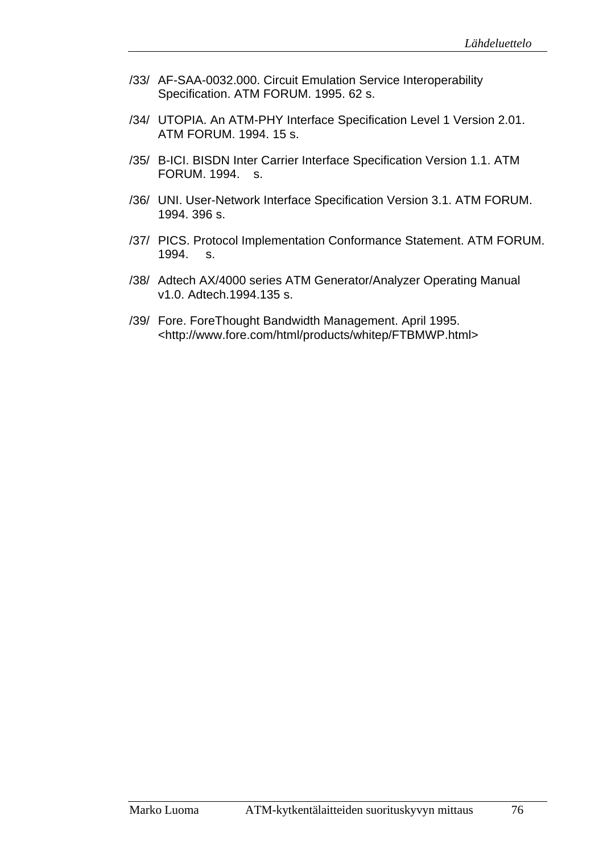- /33/ AF-SAA-0032.000. Circuit Emulation Service Interoperability Specification. ATM FORUM. 1995. 62 s.
- /34/ UTOPIA. An ATM-PHY Interface Specification Level 1 Version 2.01. ATM FORUM. 1994. 15 s.
- /35/ B-ICI. BISDN Inter Carrier Interface Specification Version 1.1. ATM FORUM. 1994. s.
- /36/ UNI. User-Network Interface Specification Version 3.1. ATM FORUM. 1994. 396 s.
- /37/ PICS. Protocol Implementation Conformance Statement. ATM FORUM. 1994. s.
- /38/ Adtech AX/4000 series ATM Generator/Analyzer Operating Manual v1.0. Adtech.1994.135 s.
- /39/ Fore. ForeThought Bandwidth Management. April 1995. <http://www.fore.com/html/products/whitep/FTBMWP.html>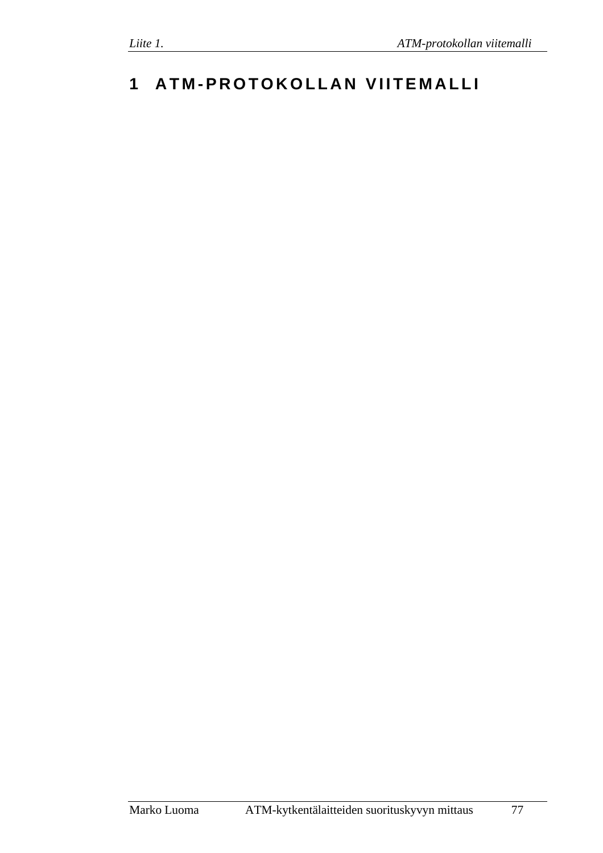## **1 ATM-PROTOKOLLAN VIITEMALLI**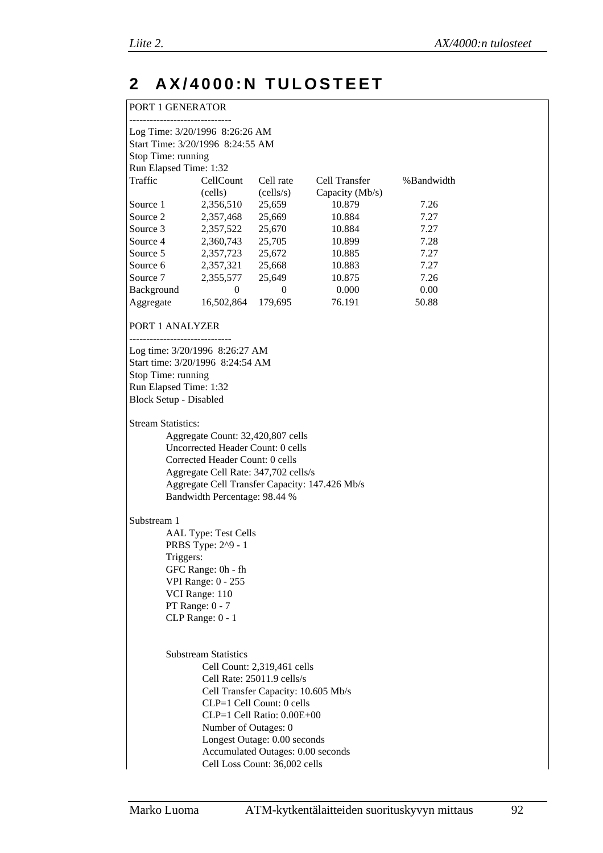## **2 A X / 4 0 0 0 : N T U L O S T E E T**

## PORT 1 GENERATOR ------------------------------ Log Time: 3/20/1996 8:26:26 AM Start Time: 3/20/1996 8:24:55 AM Stop Time: running Run Elapsed Time: 1:32 Traffic CellCount Cell rate Cell Transfer %Bandwidth (cells) (cells/s) Capacity (Mb/s) Source 1 2,356,510 25,659 10.879 7.26 Source 2 2,357,468 25,669 10.884 7.27 Source 3 2,357,522 25,670 10.884 7.27 Source 4 2,360,743 25,705 10.899 7.28 Source 5 2,357,723 25,672 10.885 7.27 Source 6 2,357,321 25,668 10.883 7.27 Source 7 2,355,577 25,649 10.875 7.26 Background 0 0 0.000 0.000 0.00 Aggregate 16,502,864 179,695 76.191 50.88 PORT 1 ANALYZER ------------------------------ Log time: 3/20/1996 8:26:27 AM Start time: 3/20/1996 8:24:54 AM Stop Time: running Run Elapsed Time: 1:32 Block Setup - Disabled Stream Statistics: Aggregate Count: 32,420,807 cells Uncorrected Header Count: 0 cells Corrected Header Count: 0 cells Aggregate Cell Rate: 347,702 cells/s Aggregate Cell Transfer Capacity: 147.426 Mb/s Bandwidth Percentage: 98.44 % Substream 1 AAL Type: Test Cells PRBS Type: 2^9 - 1 Triggers: GFC Range: 0h - fh VPI Range: 0 - 255 VCI Range: 110 PT Range: 0 - 7 CLP Range: 0 - 1 Substream Statistics Cell Count: 2,319,461 cells Cell Rate: 25011.9 cells/s Cell Transfer Capacity: 10.605 Mb/s CLP=1 Cell Count: 0 cells CLP=1 Cell Ratio: 0.00E+00 Number of Outages: 0 Longest Outage: 0.00 seconds Accumulated Outages: 0.00 seconds Cell Loss Count: 36,002 cells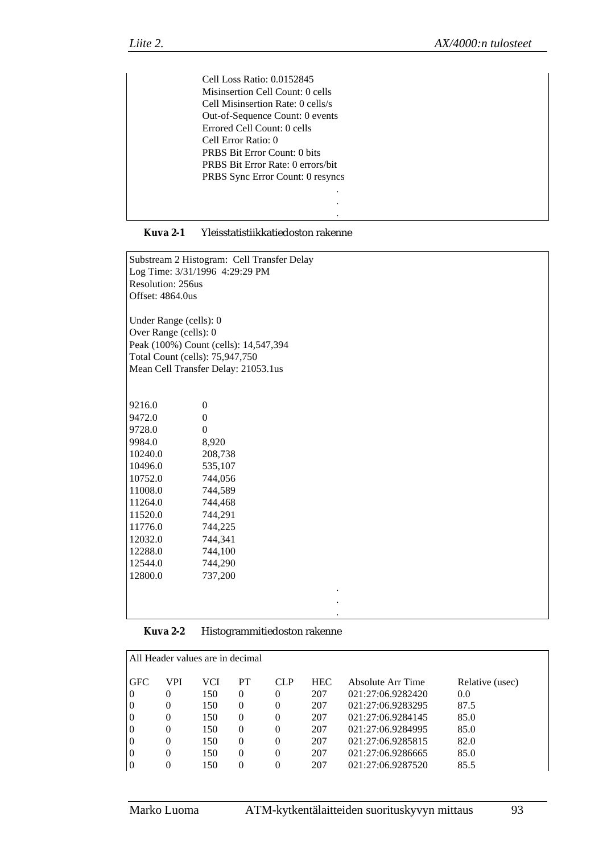Cell Loss Ratio: 0.0152845 Misinsertion Cell Count: 0 cells Cell Misinsertion Rate: 0 cells/s Out-of-Sequence Count: 0 events Errored Cell Count: 0 cells Cell Error Ratio: 0 PRBS Bit Error Count: 0 bits PRBS Bit Error Rate: 0 errors/bit PRBS Sync Error Count: 0 resyncs .

| Kuva 2-1 | Yleisstatistiikkatiedoston rakenne |
|----------|------------------------------------|
|----------|------------------------------------|

|                        | Substream 2 Histogram: Cell Transfer Delay |  |
|------------------------|--------------------------------------------|--|
|                        | Log Time: 3/31/1996 4:29:29 PM             |  |
| Resolution: 256us      |                                            |  |
| Offset: 4864.0us       |                                            |  |
|                        |                                            |  |
| Under Range (cells): 0 |                                            |  |
| Over Range (cells): 0  |                                            |  |
|                        | Peak (100%) Count (cells): 14,547,394      |  |
|                        | Total Count (cells): 75,947,750            |  |
|                        | Mean Cell Transfer Delay: 21053.1us        |  |
|                        |                                            |  |
|                        |                                            |  |
| 9216.0                 | $\boldsymbol{0}$                           |  |
| 9472.0                 | $\Omega$                                   |  |
| 9728.0                 | $\boldsymbol{0}$                           |  |
| 9984.0                 | 8,920                                      |  |
| 10240.0                | 208,738                                    |  |
| 10496.0                | 535,107                                    |  |
| 10752.0                | 744,056                                    |  |
| 11008.0                | 744,589                                    |  |
| 11264.0                | 744,468                                    |  |
| 11520.0                | 744,291                                    |  |
| 11776.0                | 744,225                                    |  |
| 12032.0                | 744,341                                    |  |
| 12288.0                | 744,100                                    |  |
| 12544.0                | 744,290                                    |  |
| 12800.0                | 737,200                                    |  |
|                        |                                            |  |
|                        |                                            |  |
|                        |                                            |  |

. .

| Kuva 2-2 | Histogrammitiedoston rakenne |
|----------|------------------------------|
|----------|------------------------------|

|                  | All Header values are in decimal |     |           |            |            |                   |                 |
|------------------|----------------------------------|-----|-----------|------------|------------|-------------------|-----------------|
|                  |                                  |     |           |            |            |                   |                 |
| <b>GFC</b>       | VPI                              | VCI | <b>PT</b> | <b>CLP</b> | <b>HEC</b> | Absolute Arr Time | Relative (usec) |
| $\theta$         | $\theta$                         | 150 |           | 0          | 207        | 021:27:06.9282420 | 0.0             |
| $\Omega$         | $\Omega$                         | 150 | $\Omega$  | 0          | 207        | 021:27:06.9283295 | 87.5            |
| $\Omega$         | $\Omega$                         | 150 | 0         | 0          | 207        | 021:27:06.9284145 | 85.0            |
| $\Omega$         | $\theta$                         | 150 |           | 0          | 207        | 021:27:06.9284995 | 85.0            |
| $\Omega$         | $\theta$                         | 150 | 0         | 0          | 207        | 021:27:06.9285815 | 82.0            |
| $\Omega$         | 0                                | 150 | $\Omega$  | 0          | 207        | 021:27:06.9286665 | 85.0            |
| $\boldsymbol{0}$ | $\Omega$                         | 150 |           | $_{0}$     | 207        | 021:27:06.9287520 | 85.5            |
|                  |                                  |     |           |            |            |                   |                 |